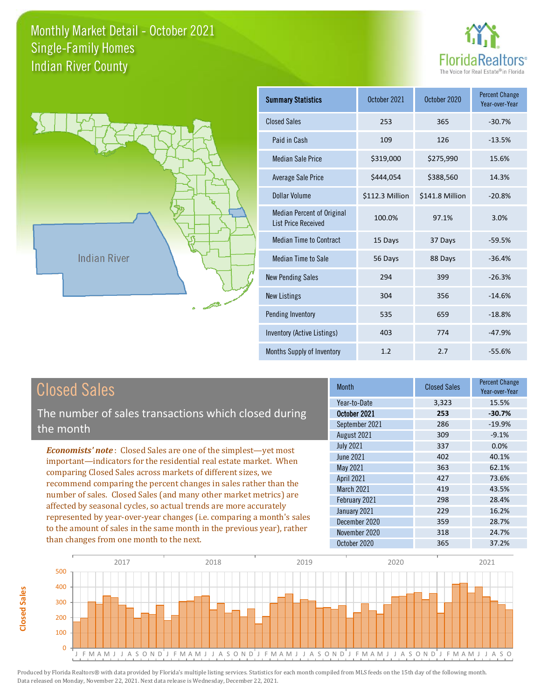



**Closed Sales**

**Closed Sales** 

| <b>Summary Statistics</b>                                       | October 2021    | October 2020    | <b>Percent Change</b><br>Year-over-Year |
|-----------------------------------------------------------------|-----------------|-----------------|-----------------------------------------|
| <b>Closed Sales</b>                                             | 253             | 365             | $-30.7%$                                |
| Paid in Cash                                                    | 109             | 126             | $-13.5%$                                |
| <b>Median Sale Price</b>                                        | \$319,000       | \$275,990       | 15.6%                                   |
| Average Sale Price                                              | \$444,054       | \$388,560       | 14.3%                                   |
| Dollar Volume                                                   | \$112.3 Million | \$141.8 Million | $-20.8%$                                |
| <b>Median Percent of Original</b><br><b>List Price Received</b> | 100.0%          | 97.1%           | 3.0%                                    |
| <b>Median Time to Contract</b>                                  | 15 Days         | 37 Days         | $-59.5%$                                |
| <b>Median Time to Sale</b>                                      | 56 Days         | 88 Days         | $-36.4%$                                |
| <b>New Pending Sales</b>                                        | 294             | 399             | $-26.3%$                                |
| <b>New Listings</b>                                             | 304             | 356             | $-14.6%$                                |
| Pending Inventory                                               | 535             | 659             | $-18.8%$                                |
| Inventory (Active Listings)                                     | 403             | 774             | $-47.9%$                                |
| Months Supply of Inventory                                      | 1.2             | 2.7             | $-55.6%$                                |

| <b>Closed Sales</b>                                                    | <b>Month</b>      | <b>Closed Sales</b> | <b>Percent Change</b><br>Year-over-Year |
|------------------------------------------------------------------------|-------------------|---------------------|-----------------------------------------|
|                                                                        | Year-to-Date      | 3,323               | 15.5%                                   |
| The number of sales transactions which closed during                   | October 2021      | 253                 | $-30.7%$                                |
| the month                                                              | September 2021    | 286                 | $-19.9%$                                |
|                                                                        | August 2021       | 309                 | $-9.1%$                                 |
| <b>Economists' note:</b> Closed Sales are one of the simplest—yet most | <b>July 2021</b>  | 337                 | $0.0\%$                                 |
| important—indicators for the residential real estate market. When      | <b>June 2021</b>  | 402                 | 40.1%                                   |
| comparing Closed Sales across markets of different sizes, we           | May 2021          | 363                 | 62.1%                                   |
| recommend comparing the percent changes in sales rather than the       | <b>April 2021</b> | 427                 | 73.6%                                   |
| number of sales. Closed Sales (and many other market metrics) are      | <b>March 2021</b> | 419                 | 43.5%                                   |
| affected by seasonal cycles, so actual trends are more accurately      | February 2021     | 298                 | 28.4%                                   |
|                                                                        | January 2021      | 229                 | 16.2%                                   |
| represented by year-over-year changes (i.e. comparing a month's sales  | December 2020     | 359                 | 28.7%                                   |
| to the amount of sales in the same month in the previous year), rather | November 2020     | 318                 | 24.7%                                   |
| than changes from one month to the next.                               | October 2020      | 365                 | 37.2%                                   |

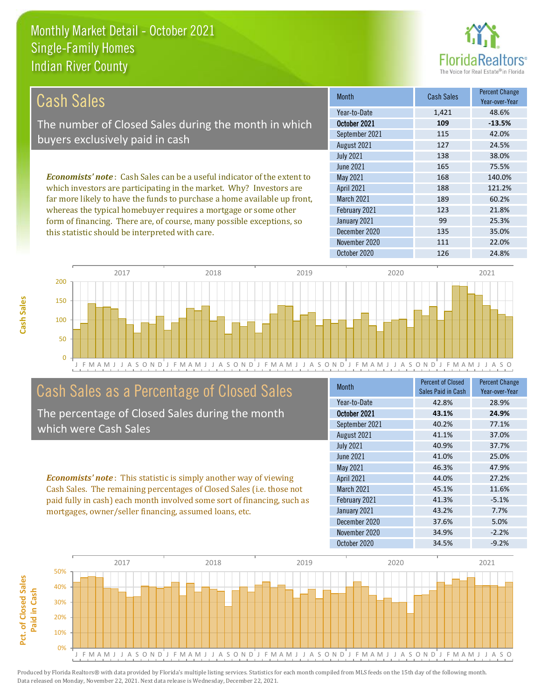this statistic should be interpreted with care.



135 35.0%

| Cash Sales                                                                     | <b>Month</b>      | <b>Cash Sales</b> | <b>Percent Change</b><br>Year-over-Year |
|--------------------------------------------------------------------------------|-------------------|-------------------|-----------------------------------------|
|                                                                                | Year-to-Date      | 1,421             | 48.6%                                   |
| The number of Closed Sales during the month in which                           | October 2021      | 109               | $-13.5%$                                |
| buyers exclusively paid in cash                                                | September 2021    | 115               | 42.0%                                   |
|                                                                                | August 2021       | 127               | 24.5%                                   |
|                                                                                | <b>July 2021</b>  | 138               | 38.0%                                   |
|                                                                                | June 2021         | 165               | 75.5%                                   |
| <b>Economists' note:</b> Cash Sales can be a useful indicator of the extent to | May 2021          | 168               | 140.0%                                  |
| which investors are participating in the market. Why? Investors are            | <b>April 2021</b> | 188               | 121.2%                                  |
| far more likely to have the funds to purchase a home available up front,       | <b>March 2021</b> | 189               | 60.2%                                   |
| whereas the typical homebuyer requires a mortgage or some other                | February 2021     | 123               | 21.8%                                   |
| form of financing. There are, of course, many possible exceptions, so          | January 2021      | 99                | 25.3%                                   |

December 2020



## Cash Sales as a Percentage of Closed Sales

The percentage of Closed Sales during the month which were Cash Sales

*Economists' note* : This statistic is simply another way of viewing Cash Sales. The remaining percentages of Closed Sales (i.e. those not paid fully in cash) each month involved some sort of financing, such as mortgages, owner/seller financing, assumed loans, etc.

| Month            | <b>Percent of Closed</b><br>Sales Paid in Cash | <b>Percent Change</b><br>Year-over-Year |
|------------------|------------------------------------------------|-----------------------------------------|
| Year-to-Date     | 42.8%                                          | 28.9%                                   |
| October 2021     | 43.1%                                          | 24.9%                                   |
| September 2021   | 40.2%                                          | 77.1%                                   |
| August 2021      | 41.1%                                          | 37.0%                                   |
| <b>July 2021</b> | 40.9%                                          | 37.7%                                   |
| June 2021        | 41.0%                                          | 25.0%                                   |
| May 2021         | 46.3%                                          | 47.9%                                   |
| April 2021       | 44.0%                                          | 27.2%                                   |
| March 2021       | 45.1%                                          | 11.6%                                   |
| February 2021    | 41.3%                                          | $-5.1%$                                 |
| January 2021     | 43.2%                                          | 7.7%                                    |
| December 2020    | 37.6%                                          | 5.0%                                    |
| November 2020    | 34.9%                                          | $-2.2%$                                 |
| October 2020     | 34.5%                                          | $-9.2%$                                 |

November 2020 111 22.0%

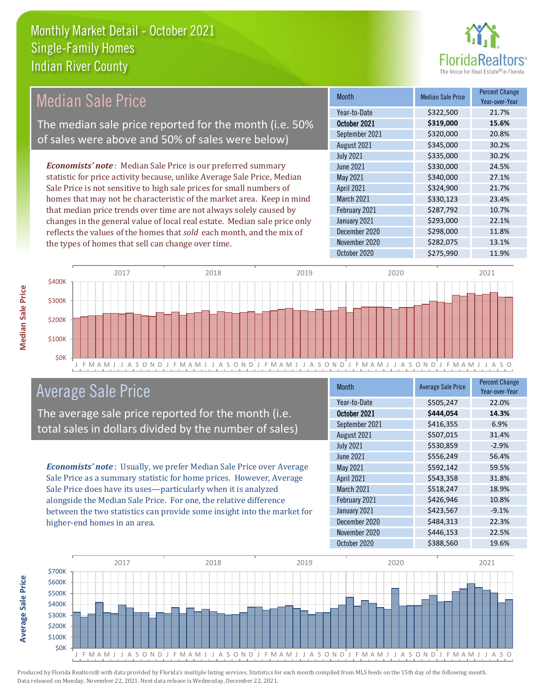

#### Month Median Sale Price Percent Change Year-over-Year October 2021 **\$319,000 15.6%** Year-to-Date \$322,500 21.7% March 2021 \$330,123 23.4% September 2021 \$320,000 20.8% August 2021 30.2% May 2021 5340,000 27.1% April 2021 **\$324,900** \$324,900 21.7% July 2021 **\$335,000** \$335,000 30.2% June 2021 **5330,000 24.5%** February 2021 **\$287,792** 10.7% January 2021 **\$293,000** 22.1% December 2020 **\$298,000 11.8%** November 2020 \$282,075 13.1% October 2020 \$275,990 11.9% *Economists' note* : Median Sale Price is our preferred summary statistic for price activity because, unlike Average Sale Price, Median Sale Price is not sensitive to high sale prices for small numbers of homes that may not be characteristic of the market area. Keep in mind that median price trends over time are not always solely caused by changes in the general value of local real estate. Median sale price only reflects the values of the homes that *sold* each month, and the mix of the types of homes that sell can change over time. Median Sale Price The median sale price reported for the month (i.e. 50% of sales were above and 50% of sales were below)



## Average Sale Price

The average sale price reported for the month (i.e. total sales in dollars divided by the number of sales)

*Economists' note* : Usually, we prefer Median Sale Price over Average Sale Price as a summary statistic for home prices. However, Average Sale Price does have its uses—particularly when it is analyzed alongside the Median Sale Price. For one, the relative difference between the two statistics can provide some insight into the market for higher-end homes in an area.

| <b>Month</b>      | <b>Average Sale Price</b> | <b>Percent Change</b><br>Year-over-Year |
|-------------------|---------------------------|-----------------------------------------|
| Year-to-Date      | \$505,247                 | 22.0%                                   |
| October 2021      | \$444,054                 | 14.3%                                   |
| September 2021    | \$416,355                 | 6.9%                                    |
| August 2021       | \$507,015                 | 31.4%                                   |
| <b>July 2021</b>  | \$530,859                 | $-2.9%$                                 |
| <b>June 2021</b>  | \$556,249                 | 56.4%                                   |
| <b>May 2021</b>   | \$592,142                 | 59.5%                                   |
| April 2021        | \$543,358                 | 31.8%                                   |
| <b>March 2021</b> | \$518,247                 | 18.9%                                   |
| February 2021     | \$426,946                 | 10.8%                                   |
| January 2021      | \$423,567                 | $-9.1%$                                 |
| December 2020     | \$484,313                 | 22.3%                                   |
| November 2020     | \$446,153                 | 22.5%                                   |
| October 2020      | \$388,560                 | 19.6%                                   |



Produced by Florida Realtors® with data provided by Florida's multiple listing services. Statistics for each month compiled from MLS feeds on the 15th day of the following month. Data released on Monday, November 22, 2021. Next data release is Wednesday, December 22, 2021.

**Average Sale Price**

**Average Sale Price**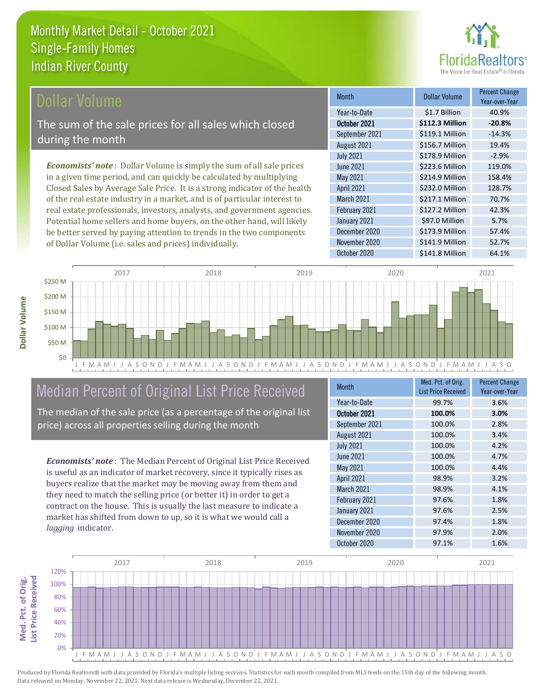

#### **Ollar Volume**

The sum of the sale prices for all sales which closed during the month

*Economists' note* : Dollar Volume is simply the sum of all sale prices in a given time period, and can quickly be calculated by multiplying Closed Sales by Average Sale Price. It is a strong indicator of the health of the real estate industry in a market, and is of particular interest to real estate professionals, investors, analysts, and government agencies. Potential home sellers and home buyers, on the other hand, will likely be better served by paying attention to trends in the two components of Dollar Volume (i.e. sales and prices) individually.

| <b>Month</b>      | Dollar Volume   | <b>Percent Change</b><br>Year-over-Year |
|-------------------|-----------------|-----------------------------------------|
| Year-to-Date      | \$1.7 Billion   | 40.9%                                   |
| October 2021      | \$112.3 Million | $-20.8%$                                |
| September 2021    | \$119.1 Million | $-14.3%$                                |
| August 2021       | \$156.7 Million | 19.4%                                   |
| <b>July 2021</b>  | \$178.9 Million | $-2.9%$                                 |
| <b>June 2021</b>  | \$223.6 Million | 119.0%                                  |
| May 2021          | \$214.9 Million | 158.4%                                  |
| April 2021        | \$232.0 Million | 128.7%                                  |
| <b>March 2021</b> | \$217.1 Million | 70.7%                                   |
| February 2021     | \$127.2 Million | 42.3%                                   |
| January 2021      | \$97.0 Million  | 5.7%                                    |
| December 2020     | \$173.9 Million | 57.4%                                   |
| November 2020     | \$141.9 Million | 52.7%                                   |
| October 2020      | \$141.8 Million | 64.1%                                   |



## Median Percent of Original List Price Received

The median of the sale price (as a percentage of the original list price) across all properties selling during the month

*Economists' note* : The Median Percent of Original List Price Received is useful as an indicator of market recovery, since it typically rises as buyers realize that the market may be moving away from them and they need to match the selling price (or better it) in order to get a contract on the house. This is usually the last measure to indicate a market has shifted from down to up, so it is what we would call a

| <b>Month</b>     | Med. Pct. of Orig.<br><b>List Price Received</b> | <b>Percent Change</b><br>Year-over-Year |
|------------------|--------------------------------------------------|-----------------------------------------|
| Year-to-Date     | 99.7%                                            | 3.6%                                    |
| October 2021     | 100.0%                                           | 3.0%                                    |
| September 2021   | 100.0%                                           | 2.8%                                    |
| August 2021      | 100.0%                                           | 3.4%                                    |
| <b>July 2021</b> | 100.0%                                           | 4.2%                                    |
| <b>June 2021</b> | 100.0%                                           | 4.7%                                    |
| May 2021         | 100.0%                                           | 4.4%                                    |
| April 2021       | 98.9%                                            | 3.2%                                    |
| March 2021       | 98.9%                                            | 4.1%                                    |
| February 2021    | 97.6%                                            | 1.8%                                    |
| January 2021     | 97.6%                                            | 2.5%                                    |
| December 2020    | 97.4%                                            | 1.8%                                    |
| November 2020    | 97.9%                                            | 2.0%                                    |
| October 2020     | 97.1%                                            | 1.6%                                    |



*lagging* indicator.

**Med. Pct. of Orig.** 

Med. Pct. of Orig.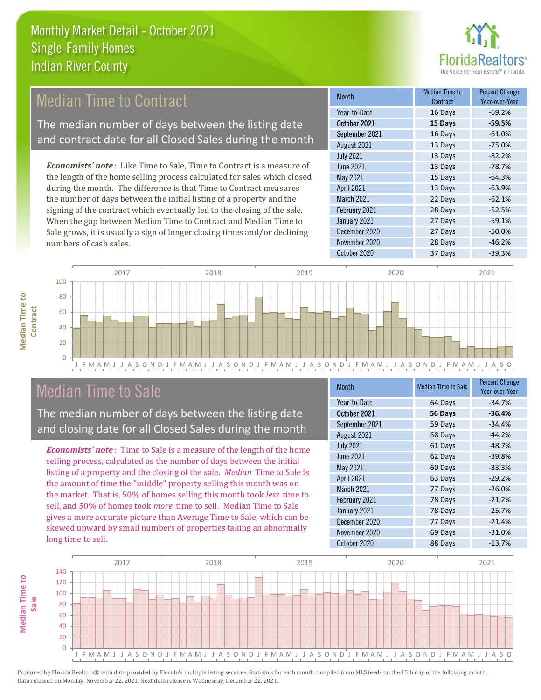

## **Median Time to Contract**

The median number of days between the listing date and contract date for all Closed Sales during the month

*Economists' note* : Like Time to Sale, Time to Contract is a measure of the length of the home selling process calculated for sales which closed during the month. The difference is that Time to Contract measures the number of days between the initial listing of a property and the signing of the contract which eventually led to the closing of the sale. When the gap between Median Time to Contract and Median Time to Sale grows, it is usually a sign of longer closing times and/or declining numbers of cash sales.

| <b>Month</b>     | Median Time to<br>Contract | <b>Percent Change</b><br>Year-over-Year |
|------------------|----------------------------|-----------------------------------------|
| Year-to-Date     | 16 Days                    | $-69.2%$                                |
| October 2021     | 15 Days                    | $-59.5%$                                |
| September 2021   | 16 Days                    | $-61.0%$                                |
| August 2021      | 13 Days                    | $-75.0%$                                |
| <b>July 2021</b> | 13 Days                    | $-82.2%$                                |
| <b>June 2021</b> | 13 Days                    | $-78.7%$                                |
| May 2021         | 15 Days                    | $-64.3%$                                |
| April 2021       | 13 Days                    | $-63.9%$                                |
| March 2021       | 22 Days                    | $-62.1%$                                |
| February 2021    | 28 Days                    | $-52.5%$                                |
| January 2021     | 27 Days                    | $-59.1%$                                |
| December 2020    | 27 Days                    | $-50.0%$                                |
| November 2020    | 28 Days                    | $-46.2%$                                |
| October 2020     | 37 Days                    | $-39.3%$                                |



## Median Time to Sale

**Median Time to** 

**Median Time to** 

The median number of days between the listing date and closing date for all Closed Sales during the month

*Economists' note* : Time to Sale is a measure of the length of the home selling process, calculated as the number of days between the initial listing of a property and the closing of the sale. *Median* Time to Sale is the amount of time the "middle" property selling this month was on the market. That is, 50% of homes selling this month took *less* time to sell, and 50% of homes took *more* time to sell. Median Time to Sale gives a more accurate picture than Average Time to Sale, which can be skewed upward by small numbers of properties taking an abnormally long time to sell.

| <b>Month</b>      | <b>Median Time to Sale</b> | <b>Percent Change</b><br>Year-over-Year |
|-------------------|----------------------------|-----------------------------------------|
| Year-to-Date      | 64 Days                    | $-34.7%$                                |
| October 2021      | 56 Days                    | $-36.4%$                                |
| September 2021    | 59 Days                    | $-34.4%$                                |
| August 2021       | 58 Days                    | $-44.2%$                                |
| <b>July 2021</b>  | 61 Days                    | $-48.7%$                                |
| <b>June 2021</b>  | 62 Days                    | $-39.8%$                                |
| May 2021          | 60 Days                    | $-33.3%$                                |
| <b>April 2021</b> | 63 Days                    | $-29.2%$                                |
| March 2021        | 77 Days                    | $-26.0%$                                |
| February 2021     | 78 Days                    | $-21.2%$                                |
| January 2021      | 78 Days                    | $-25.7%$                                |
| December 2020     | 77 Days                    | $-21.4%$                                |
| November 2020     | 69 Days                    | $-31.0%$                                |
| October 2020      | 88 Days                    | $-13.7%$                                |

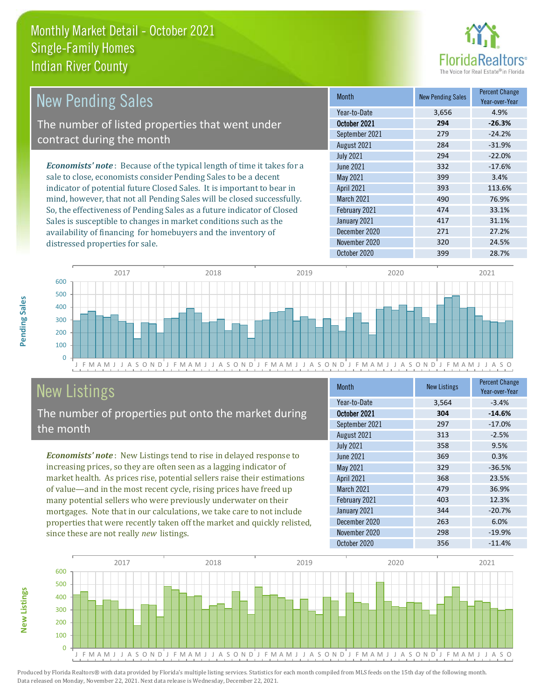

| New Pending Sales                                                             | <b>Month</b>      | <b>New Pending Sales</b> | <b>Percent Change</b><br>Year-over-Year |
|-------------------------------------------------------------------------------|-------------------|--------------------------|-----------------------------------------|
|                                                                               | Year-to-Date      | 3,656                    | 4.9%                                    |
| The number of listed properties that went under                               | October 2021      | 294                      | $-26.3%$                                |
| contract during the month                                                     | September 2021    | 279                      | $-24.2%$                                |
|                                                                               | August 2021       | 284                      | $-31.9%$                                |
|                                                                               | <b>July 2021</b>  | 294                      | $-22.0%$                                |
| <b>Economists' note:</b> Because of the typical length of time it takes for a | June 2021         | 332                      | $-17.6%$                                |
| sale to close, economists consider Pending Sales to be a decent               | May 2021          | 399                      | 3.4%                                    |
| indicator of potential future Closed Sales. It is important to bear in        | <b>April 2021</b> | 393                      | 113.6%                                  |
| mind, however, that not all Pending Sales will be closed successfully.        | <b>March 2021</b> | 490                      | 76.9%                                   |
| So, the effectiveness of Pending Sales as a future indicator of Closed        | February 2021     | 474                      | 33.1%                                   |
| Sales is susceptible to changes in market conditions such as the              | January 2021      | 417                      | 31.1%                                   |



# New Listings

distressed properties for sale.

The number of properties put onto the market during the month

availability of financing for homebuyers and the inventory of

*Economists' note* : New Listings tend to rise in delayed response to increasing prices, so they are often seen as a lagging indicator of market health. As prices rise, potential sellers raise their estimations of value—and in the most recent cycle, rising prices have freed up many potential sellers who were previously underwater on their mortgages. Note that in our calculations, we take care to not include properties that were recently taken off the market and quickly relisted, since these are not really *new* listings.

| <b>Month</b>      | <b>New Listings</b> | <b>Percent Change</b><br>Year-over-Year |
|-------------------|---------------------|-----------------------------------------|
| Year-to-Date      | 3,564               | $-3.4%$                                 |
| October 2021      | 304                 | $-14.6%$                                |
| September 2021    | 297                 | $-17.0%$                                |
| August 2021       | 313                 | $-2.5%$                                 |
| <b>July 2021</b>  | 358                 | 9.5%                                    |
| <b>June 2021</b>  | 369                 | 0.3%                                    |
| May 2021          | 329                 | $-36.5%$                                |
| April 2021        | 368                 | 23.5%                                   |
| <b>March 2021</b> | 479                 | 36.9%                                   |
| February 2021     | 403                 | 12.3%                                   |
| January 2021      | 344                 | $-20.7%$                                |
| December 2020     | 263                 | 6.0%                                    |
| November 2020     | 298                 | $-19.9%$                                |
| October 2020      | 356                 | $-11.4%$                                |

December 2020 271 27.2% November 2020 320 320 24.5% October 2020 399 28.7%



Pending Sales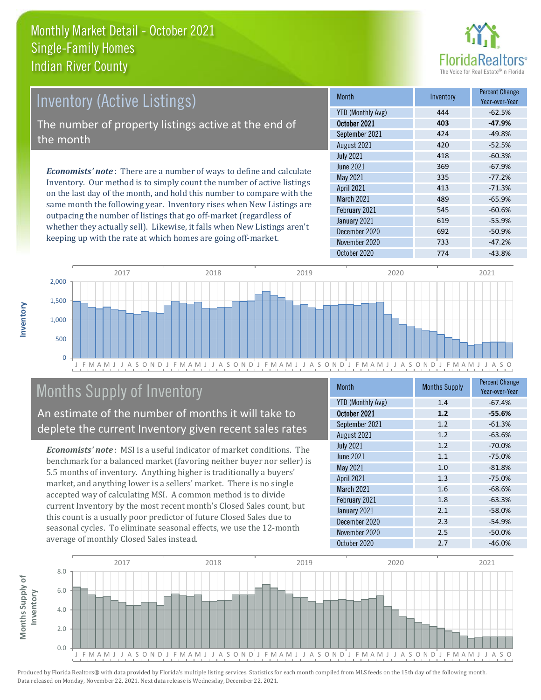

# Inventory (Active Listings) The number of property listings active at the end of the month

*Economists' note* : There are a number of ways to define and calculate Inventory. Our method is to simply count the number of active listings on the last day of the month, and hold this number to compare with the same month the following year. Inventory rises when New Listings are outpacing the number of listings that go off-market (regardless of whether they actually sell). Likewise, it falls when New Listings aren't keeping up with the rate at which homes are going off-market.

| <b>Month</b>             | Inventory | <b>Percent Change</b><br>Year-over-Year |
|--------------------------|-----------|-----------------------------------------|
| <b>YTD (Monthly Avg)</b> | 444       | $-62.5%$                                |
| October 2021             | 403       | $-47.9%$                                |
| September 2021           | 424       | $-49.8%$                                |
| August 2021              | 420       | $-52.5%$                                |
| <b>July 2021</b>         | 418       | $-60.3%$                                |
| <b>June 2021</b>         | 369       | $-67.9%$                                |
| May 2021                 | 335       | $-77.2%$                                |
| April 2021               | 413       | $-71.3%$                                |
| March 2021               | 489       | $-65.9%$                                |
| February 2021            | 545       | $-60.6%$                                |
| January 2021             | 619       | $-55.9%$                                |
| December 2020            | 692       | $-50.9%$                                |
| November 2020            | 733       | $-47.2%$                                |
| October 2020             | 774       | $-43.8%$                                |



## Months Supply of Inventory

An estimate of the number of months it will take to deplete the current Inventory given recent sales rates

*Economists' note* : MSI is a useful indicator of market conditions. The benchmark for a balanced market (favoring neither buyer nor seller) is 5.5 months of inventory. Anything higher is traditionally a buyers' market, and anything lower is a sellers' market. There is no single accepted way of calculating MSI. A common method is to divide current Inventory by the most recent month's Closed Sales count, but this count is a usually poor predictor of future Closed Sales due to seasonal cycles. To eliminate seasonal effects, we use the 12-month average of monthly Closed Sales instead.

| <b>Month</b>             | <b>Months Supply</b> | <b>Percent Change</b><br>Year-over-Year |
|--------------------------|----------------------|-----------------------------------------|
| <b>YTD (Monthly Avg)</b> | 1.4                  | $-67.4%$                                |
| October 2021             | 1.2                  | $-55.6%$                                |
| September 2021           | 1.2                  | $-61.3%$                                |
| August 2021              | 1.2                  | $-63.6%$                                |
| <b>July 2021</b>         | 1.2                  | $-70.0%$                                |
| <b>June 2021</b>         | 1.1                  | $-75.0%$                                |
| May 2021                 | 1.0                  | $-81.8%$                                |
| April 2021               | 1.3                  | $-75.0%$                                |
| March 2021               | 1.6                  | $-68.6%$                                |
| February 2021            | 1.8                  | $-63.3%$                                |
| January 2021             | 2.1                  | $-58.0%$                                |
| December 2020            | 2.3                  | $-54.9%$                                |
| November 2020            | 2.5                  | $-50.0%$                                |
| October 2020             | 2.7                  | $-46.0%$                                |

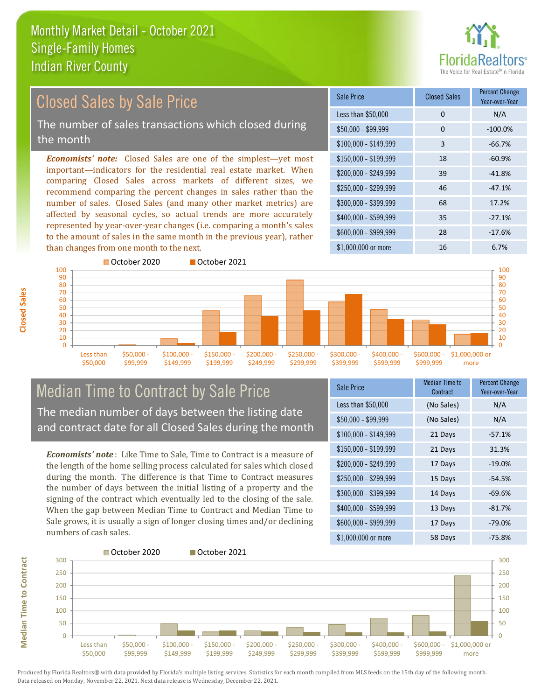

#### *Economists' note:* Closed Sales are one of the simplest—yet most important—indicators for the residential real estate market. When comparing Closed Sales across markets of different sizes, we recommend comparing the percent changes in sales rather than the number of sales. Closed Sales (and many other market metrics) are affected by seasonal cycles, so actual trends are more accurately represented by year-over-year changes (i.e. comparing a month's sales to the amount of sales in the same month in the previous year), rather than changes from one month to the next. \$1,000,000 or more 16 16 6.7%  $$250,000 - $299,999$  46  $-47.1\%$ \$300,000 - \$399,999 68 17.2% \$400,000 - \$599,999 35 -27.1% \$600,000 - \$999,999 28 -17.6% \$150,000 - \$199,999 18 -60.9% \$200,000 - \$249,999 39 -41.8% \$100,000 - \$149,999 3 -66.7% Sale Price Closed Sales Percent Change Year-over-Year Less than \$50,000 0 0 N/A  $$50.000 - $99.999$  0  $-100.0\%$ October 2020 **October 2021** Closed Sales by Sale Price The number of sales transactions which closed during the month



#### Median Time to Contract by Sale Price The median number of days between the listing date and contract date for all Closed Sales during the month

*Economists' note* : Like Time to Sale, Time to Contract is a measure of the length of the home selling process calculated for sales which closed during the month. The difference is that Time to Contract measures the number of days between the initial listing of a property and the signing of the contract which eventually led to the closing of the sale. When the gap between Median Time to Contract and Median Time to Sale grows, it is usually a sign of longer closing times and/or declining numbers of cash sales.

| Sale Price            | <b>Median Time to</b><br>Contract | <b>Percent Change</b><br>Year-over-Year |
|-----------------------|-----------------------------------|-----------------------------------------|
| Less than \$50,000    | (No Sales)                        | N/A                                     |
| $$50,000 - $99,999$   | (No Sales)                        | N/A                                     |
| $$100,000 - $149,999$ | 21 Days                           | $-57.1%$                                |
| \$150,000 - \$199,999 | 21 Days                           | 31.3%                                   |
| \$200,000 - \$249,999 | 17 Days                           | $-19.0%$                                |
| \$250,000 - \$299,999 | 15 Days                           | $-54.5%$                                |
| \$300,000 - \$399,999 | 14 Days                           | $-69.6%$                                |
| \$400,000 - \$599,999 | 13 Days                           | $-81.7%$                                |
| \$600,000 - \$999,999 | 17 Days                           | $-79.0%$                                |
| \$1,000,000 or more   | 58 Days                           | $-75.8%$                                |



Produced by Florida Realtors® with data provided by Florida's multiple listing services. Statistics for each month compiled from MLS feeds on the 15th day of the following month. Data released on Monday, November 22, 2021. Next data release is Wednesday, December 22, 2021.

**Median Time to Contract**

**Median Time to Contract**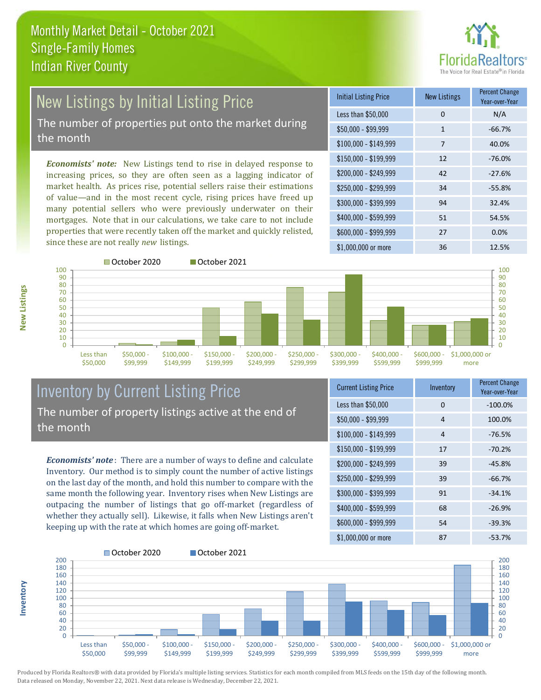

## New Listings by Initial Listing Price The number of properties put onto the market during

the month

*Economists' note:* New Listings tend to rise in delayed response to increasing prices, so they are often seen as a lagging indicator of market health. As prices rise, potential sellers raise their estimations of value—and in the most recent cycle, rising prices have freed up many potential sellers who were previously underwater on their mortgages. Note that in our calculations, we take care to not include properties that were recently taken off the market and quickly relisted, since these are not really *new* listings.

| <b>Initial Listing Price</b> | <b>New Listings</b> | <b>Percent Change</b><br>Year-over-Year |
|------------------------------|---------------------|-----------------------------------------|
| Less than \$50,000           | $\Omega$            | N/A                                     |
| $$50,000 - $99,999$          | $\mathbf{1}$        | $-66.7%$                                |
| $$100,000 - $149,999$        | 7                   | 40.0%                                   |
| $$150,000 - $199,999$        | 12                  | $-76.0%$                                |
| $$200,000 - $249,999$        | 42                  | $-27.6%$                                |
| $$250,000 - $299,999$        | 34                  | $-55.8%$                                |
| \$300,000 - \$399,999        | 94                  | 32.4%                                   |
| \$400,000 - \$599,999        | 51                  | 54.5%                                   |
| \$600,000 - \$999,999        | 27                  | 0.0%                                    |
| $$1,000,000$ or more         | 36                  | 12.5%                                   |



**Inventory**



#### Inventory by Current Listing Price The number of property listings active at the end of the month

*Economists' note* : There are a number of ways to define and calculate Inventory. Our method is to simply count the number of active listings on the last day of the month, and hold this number to compare with the same month the following year. Inventory rises when New Listings are outpacing the number of listings that go off-market (regardless of whether they actually sell). Likewise, it falls when New Listings aren't keeping up with the rate at which homes are going off-market.

| <b>Current Listing Price</b> | Inventory | <b>Percent Change</b><br>Year-over-Year |
|------------------------------|-----------|-----------------------------------------|
| Less than \$50,000           | $\Omega$  | $-100.0%$                               |
| $$50,000 - $99,999$          | 4         | 100.0%                                  |
| $$100,000 - $149,999$        | 4         | $-76.5%$                                |
| $$150,000 - $199,999$        | 17        | $-70.2%$                                |
| \$200,000 - \$249,999        | 39        | $-45.8%$                                |
| \$250,000 - \$299,999        | 39        | $-66.7%$                                |
| \$300,000 - \$399,999        | 91        | $-34.1%$                                |
| \$400,000 - \$599,999        | 68        | $-26.9%$                                |
| \$600,000 - \$999,999        | 54        | $-39.3%$                                |
| \$1,000,000 or more          | 87        | $-53.7%$                                |